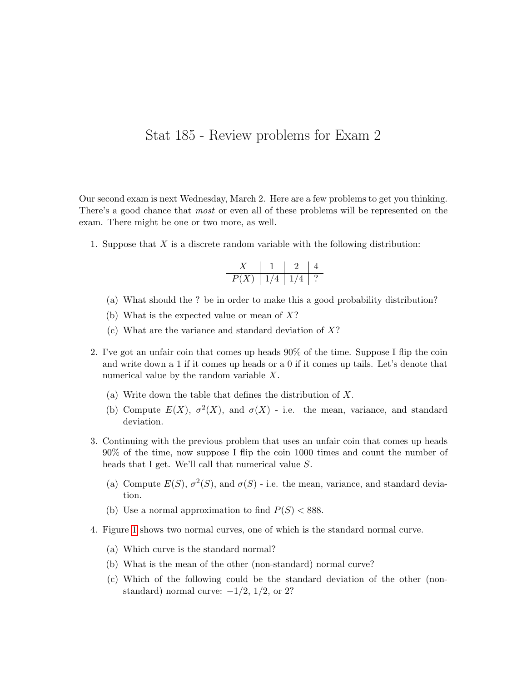## Stat 185 - Review problems for Exam 2

Our second exam is next Wednesday, March 2. Here are a few problems to get you thinking. There's a good chance that *most* or even all of these problems will be represented on the exam. There might be one or two more, as well.

1. Suppose that  $X$  is a discrete random variable with the following distribution:

$$
\begin{array}{c|c|c|c|c} X & 1 & 2 & 4 \\ \hline P(X) & 1/4 & 1/4 & ? \end{array}
$$

- (a) What should the ? be in order to make this a good probability distribution?
- (b) What is the expected value or mean of  $X$ ?
- (c) What are the variance and standard deviation of  $X$ ?
- 2. I've got an unfair coin that comes up heads 90% of the time. Suppose I flip the coin and write down a 1 if it comes up heads or a 0 if it comes up tails. Let's denote that numerical value by the random variable X.
	- (a) Write down the table that defines the distribution of X.
	- (b) Compute  $E(X)$ ,  $\sigma^2(X)$ , and  $\sigma(X)$  i.e. the mean, variance, and standard deviation.
- 3. Continuing with the previous problem that uses an unfair coin that comes up heads 90% of the time, now suppose I flip the coin 1000 times and count the number of heads that I get. We'll call that numerical value S.
	- (a) Compute  $E(S)$ ,  $\sigma^2(S)$ , and  $\sigma(S)$  i.e. the mean, variance, and standard deviation.
	- (b) Use a normal approximation to find  $P(S) < 888$ .
- 4. Figure [1](#page-2-0) shows two normal curves, one of which is the standard normal curve.
	- (a) Which curve is the standard normal?
	- (b) What is the mean of the other (non-standard) normal curve?
	- (c) Which of the following could be the standard deviation of the other (nonstandard) normal curve:  $-1/2$ ,  $1/2$ , or 2?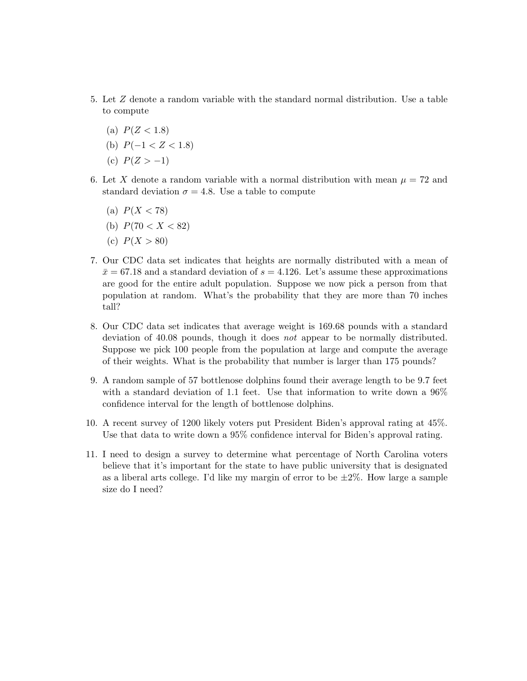- 5. Let Z denote a random variable with the standard normal distribution. Use a table to compute
	- (a)  $P(Z < 1.8)$
	- (b)  $P(-1 < Z < 1.8)$
	- (c)  $P(Z > -1)$
- 6. Let X denote a random variable with a normal distribution with mean  $\mu = 72$  and standard deviation  $\sigma = 4.8$ . Use a table to compute
	- (a)  $P(X < 78)$
	- (b)  $P(70 < X < 82)$
	- (c)  $P(X > 80)$
- 7. Our CDC data set indicates that heights are normally distributed with a mean of  $\bar{x}$  = 67.18 and a standard deviation of  $s = 4.126$ . Let's assume these approximations are good for the entire adult population. Suppose we now pick a person from that population at random. What's the probability that they are more than 70 inches tall?
- 8. Our CDC data set indicates that average weight is 169.68 pounds with a standard deviation of 40.08 pounds, though it does not appear to be normally distributed. Suppose we pick 100 people from the population at large and compute the average of their weights. What is the probability that number is larger than 175 pounds?
- 9. A random sample of 57 bottlenose dolphins found their average length to be 9.7 feet with a standard deviation of 1.1 feet. Use that information to write down a 96% confidence interval for the length of bottlenose dolphins.
- 10. A recent survey of 1200 likely voters put President Biden's approval rating at 45%. Use that data to write down a 95% confidence interval for Biden's approval rating.
- 11. I need to design a survey to determine what percentage of North Carolina voters believe that it's important for the state to have public university that is designated as a liberal arts college. I'd like my margin of error to be  $\pm 2\%$ . How large a sample size do I need?